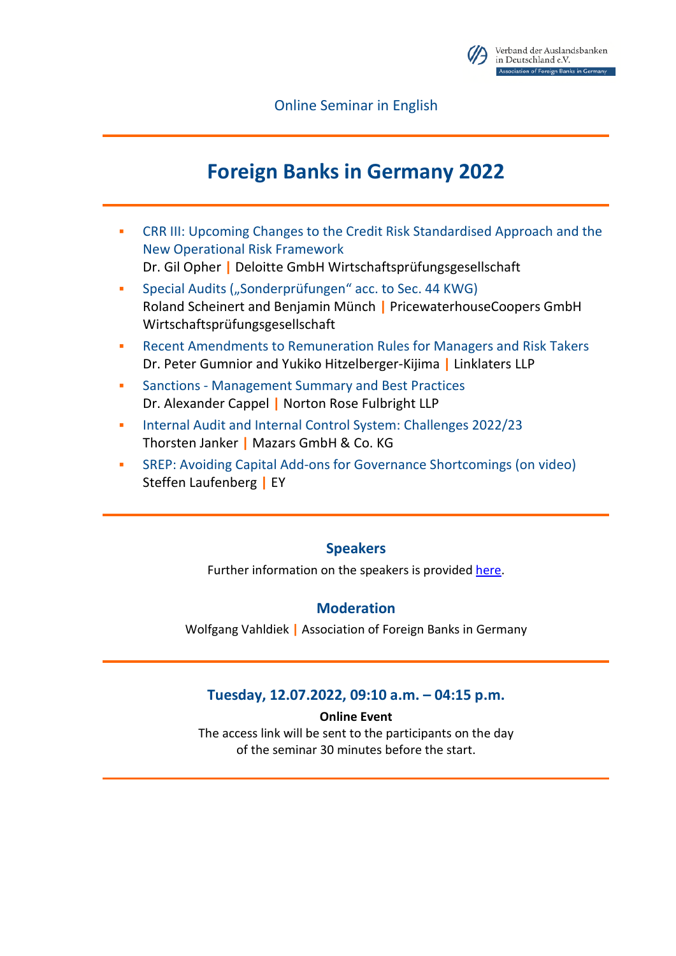

Online Seminar in English

# **Foreign Banks in Germany 2022**

- CRR III: Upcoming Changes to the Credit Risk Standardised Approach and the New Operational Risk Framework Dr. Gil Opher **|** Deloitte GmbH Wirtschaftsprüfungsgesellschaft
- Special Audits ("Sonderprüfungen" acc. to Sec. 44 KWG) Roland Scheinert and Benjamin Münch **|** PricewaterhouseCoopers GmbH Wirtschaftsprüfungsgesellschaft
- Recent Amendments to Remuneration Rules for Managers and Risk Takers Dr. Peter Gumnior and Yukiko Hitzelberger-Kijima **|** Linklaters LLP
- Sanctions Management Summary and Best Practices Dr. Alexander Cappel **|** Norton Rose Fulbright LLP
- **Internal Audit and Internal Control System: Challenges 2022/23** Thorsten Janker **|** Mazars GmbH & Co. KG
- SREP: Avoiding Capital Add-ons for Governance Shortcomings (on video) Steffen Laufenberg **|** EY

# **Speakers**

Further information on the speakers is provided [here.](https://www.vab.de/seminare/profile-speakers-online-seminar-foreign-banks-in-germany-2022/)

# **Moderation**

Wolfgang Vahldiek **|** Association of Foreign Banks in Germany

# **Tuesday, 12.07.2022, 09:10 a.m. – 04:15 p.m.**

#### **Online Event**

The access link will be sent to the participants on the day of the seminar 30 minutes before the start.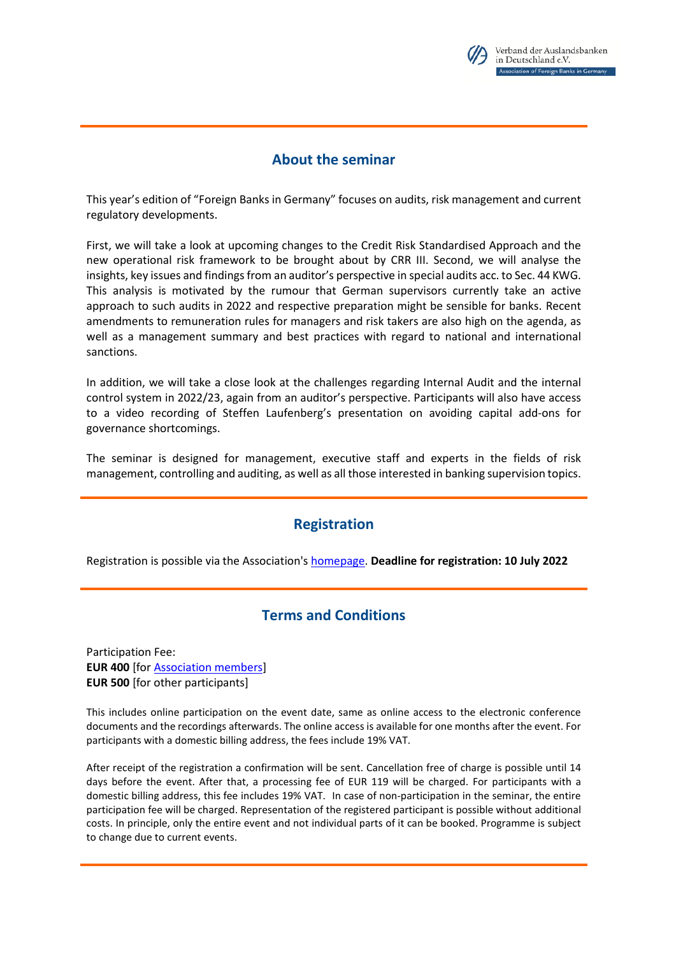

## **About the seminar**

This year's edition of "Foreign Banks in Germany" focuses on audits, risk management and current regulatory developments.

First, we will take a look at upcoming changes to the Credit Risk Standardised Approach and the new operational risk framework to be brought about by CRR III. Second, we will analyse the insights, key issues and findings from an auditor's perspective in special audits acc. to Sec. 44 KWG. This analysis is motivated by the rumour that German supervisors currently take an active approach to such audits in 2022 and respective preparation might be sensible for banks. Recent amendments to remuneration rules for managers and risk takers are also high on the agenda, as well as a management summary and best practices with regard to national and international sanctions.

In addition, we will take a close look at the challenges regarding Internal Audit and the internal control system in 2022/23, again from an auditor's perspective. Participants will also have access to a video recording of Steffen Laufenberg's presentation on avoiding capital add-ons for governance shortcomings.

The seminar is designed for management, executive staff and experts in the fields of risk management, controlling and auditing, as well as all those interested in banking supervision topics.

# **Registration**

Registration is possible via the Association's [homepage.](https://www.vab.de/event/online-seminar-foreign-banks-in-germany-2022-on-12-july-2022/) **Deadline for registration: 10 July 2022**

# **Terms and Conditions**

Participation Fee: **EUR 400** [fo[r Association members\]](https://www.vab.de/association/members/?lang=en) **EUR 500** [for other participants]

This includes online participation on the event date, same as online access to the electronic conference documents and the recordings afterwards. The online access is available for one months after the event. For participants with a domestic billing address, the fees include 19% VAT.

After receipt of the registration a confirmation will be sent. Cancellation free of charge is possible until 14 days before the event. After that, a processing fee of EUR 119 will be charged. For participants with a domestic billing address, this fee includes 19% VAT. In case of non-participation in the seminar, the entire participation fee will be charged. Representation of the registered participant is possible without additional costs. In principle, only the entire event and not individual parts of it can be booked. Programme is subject to change due to current events.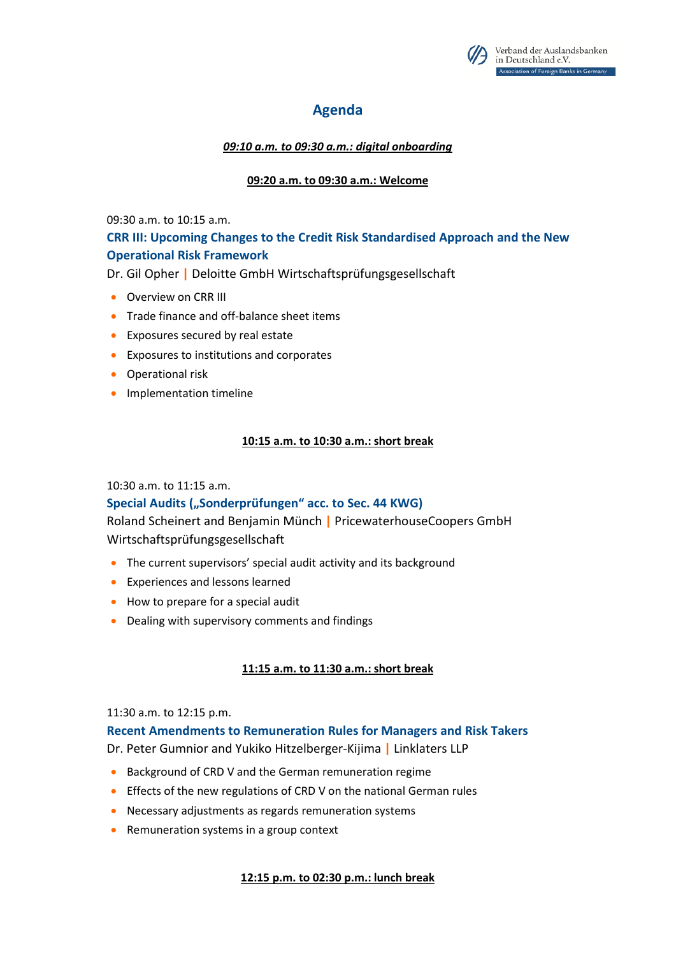

# **Agenda**

*09:10 a.m. to 09:30 a.m.: digital onboarding* 

#### **09:20 a.m. to 09:30 a.m.: Welcome**

09:30 a.m. to 10:15 a.m.

## **CRR III: Upcoming Changes to the Credit Risk Standardised Approach and the New Operational Risk Framework**

Dr. Gil Opher **|** Deloitte GmbH Wirtschaftsprüfungsgesellschaft

- **Overview on CRR III**
- **•** Trade finance and off-balance sheet items
- Exposures secured by real estate
- Exposures to institutions and corporates
- **•** Operational risk
- **•** Implementation timeline

#### **10:15 a.m. to 10:30 a.m.: short break**

#### 10:30 a.m. to 11:15 a.m.

#### Special Audits ("Sonderprüfungen" acc. to Sec. 44 KWG)

Roland Scheinert and Benjamin Münch **|** PricewaterhouseCoopers GmbH Wirtschaftsprüfungsgesellschaft

- The current supervisors' special audit activity and its background
- Experiences and lessons learned
- How to prepare for a special audit
- Dealing with supervisory comments and findings

#### **11:15 a.m. to 11:30 a.m.: short break**

#### 11:30 a.m. to 12:15 p.m.

#### **Recent Amendments to Remuneration Rules for Managers and Risk Takers**

Dr. Peter Gumnior and Yukiko Hitzelberger-Kijima **|** Linklaters LLP

- Background of CRD V and the German remuneration regime
- **Effects of the new regulations of CRD V on the national German rules**
- Necessary adjustments as regards remuneration systems
- Remuneration systems in a group context

#### **12:15 p.m. to 02:30 p.m.: lunch break**